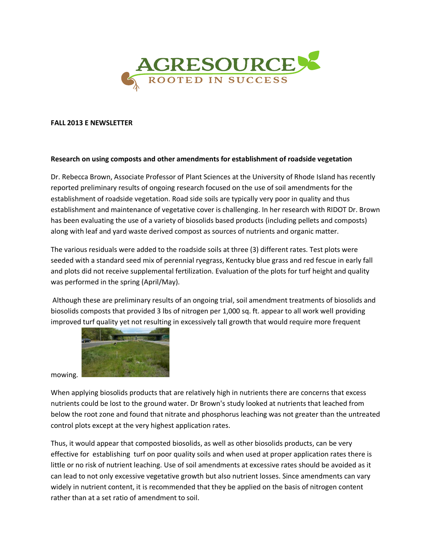

## **FALL 2013 E NEWSLETTER**

## **Research on using composts and other amendments for establishment of roadside vegetation**

Dr. Rebecca Brown, Associate Professor of Plant Sciences at the University of Rhode Island has recently reported preliminary results of ongoing research focused on the use of soil amendments for the establishment of roadside vegetation. Road side soils are typically very poor in quality and thus establishment and maintenance of vegetative cover is challenging. In her research with RIDOT Dr. Brown has been evaluating the use of a variety of biosolids based products (including pellets and composts) along with leaf and yard waste derived compost as sources of nutrients and organic matter.

The various residuals were added to the roadside soils at three (3) different rates. Test plots were seeded with a standard seed mix of perennial ryegrass, Kentucky blue grass and red fescue in early fall and plots did not receive supplemental fertilization. Evaluation of the plots for turf height and quality was performed in the spring (April/May).

Although these are preliminary results of an ongoing trial, soil amendment treatments of biosolids and biosolids composts that provided 3 lbs of nitrogen per 1,000 sq. ft. appear to all work well providing improved turf quality yet not resulting in excessively tall growth that would require more frequent



mowing.

When applying biosolids products that are relatively high in nutrients there are concerns that excess nutrients could be lost to the ground water. Dr Brown's study looked at nutrients that leached from below the root zone and found that nitrate and phosphorus leaching was not greater than the untreated control plots except at the very highest application rates.

Thus, it would appear that composted biosolids, as well as other biosolids products, can be very effective for establishing turf on poor quality soils and when used at proper application rates there is little or no risk of nutrient leaching. Use of soil amendments at excessive rates should be avoided as it can lead to not only excessive vegetative growth but also nutrient losses. Since amendments can vary widely in nutrient content, it is recommended that they be applied on the basis of nitrogen content rather than at a set ratio of amendment to soil.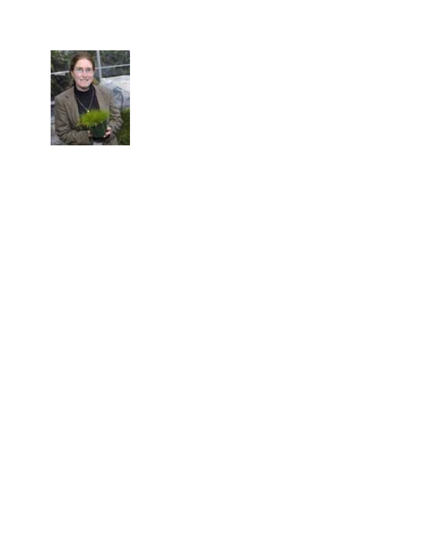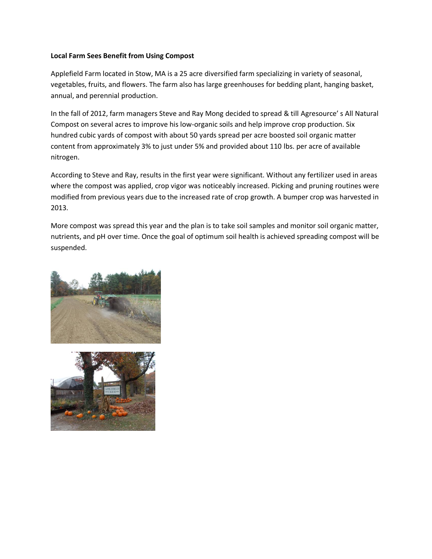## **Local Farm Sees Benefit from Using Compost**

Applefield Farm located in Stow, MA is a 25 acre diversified farm specializing in variety of seasonal, vegetables, fruits, and flowers. The farm also has large greenhouses for bedding plant, hanging basket, annual, and perennial production.

In the fall of 2012, farm managers Steve and Ray Mong decided to spread & till Agresource' s All Natural Compost on several acres to improve his low-organic soils and help improve crop production. Six hundred cubic yards of compost with about 50 yards spread per acre boosted soil organic matter content from approximately 3% to just under 5% and provided about 110 lbs. per acre of available nitrogen.

According to Steve and Ray, results in the first year were significant. Without any fertilizer used in areas where the compost was applied, crop vigor was noticeably increased. Picking and pruning routines were modified from previous years due to the increased rate of crop growth. A bumper crop was harvested in 2013.

More compost was spread this year and the plan is to take soil samples and monitor soil organic matter, nutrients, and pH over time. Once the goal of optimum soil health is achieved spreading compost will be suspended.